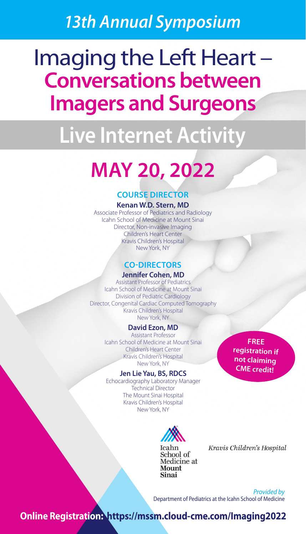# *13th Annual Symposium*

# Imaging the Left Heart – **Conversations between Imagers and Surgeons**

# **Live Internet Activity**

# **MAY 20, 2022**

# **COURSE DIRECTOR**

# **Kenan W.D. Stern, MD**

Associate Professor of Pediatrics and Radiology Icahn School of Medicine at Mount Sinai Director, Non-invasive Imaging Children's Heart Center Kravis Children's Hospital New York, NY

# **CO-DIRECTORS**

# **Jennifer Cohen, MD**

Assistant Professor of Pediatrics Icahn School of Medicine at Mount Sinai Division of Pediatric Cardiology Director, Congenital Cardiac Computed Tomography Kravis Children's Hospital New York, NY

# **David Ezon, MD**

Assistant Professor Icahn School of Medicine at Mount Sinai Children's Heart Center Kravis Children's Hospital New York, NY

## **Jen Lie Yau, BS, RDCS**

Echocardiography Laboratory Manager Technical Director The Mount Sinai Hospital Kravis Children's Hospital New York, NY

**FREE registration if not claiming CME credit!**



Kravis Children's Hospital

*Provided by* Department of Pediatrics at the Icahn School of Medicine

**Online Registration: https://mssm.cloud-cme.com/Imaging2022**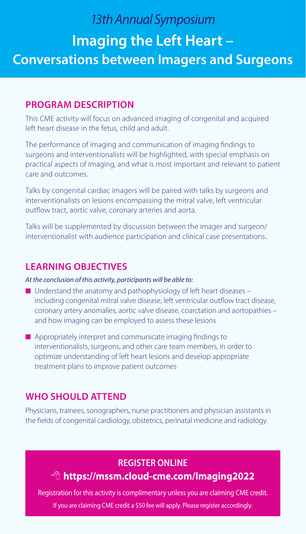# *13th Annual Symposium* **Imaging the Left Heart – Conversations between Imagers and Surgeons**

# **PROGRAM DESCRIPTION**

This CME activity will focus on advanced imaging of congenital and acquired left heart disease in the fetus, child and adult.

The performance of imaging and communication of imaging findings to surgeons and interventionalists will be highlighted, with special emphasis on practical aspects of imaging, and what is most important and relevant to patient care and outcomes.

Talks by congenital cardiac imagers will be paired with talks by surgeons and interventionalists on lesions encompassing the mitral valve, left ventricular outflow tract, aortic valve, coronary arteries and aorta.

Talks will be supplemented by discussion between the imager and surgeon/ interventionalist with audience participation and clinical case presentations..

# **LEARNING OBJECTIVES**

# *At the conclusion of this activity, participants will be able to:*

- $\blacksquare$  Understand the anatomy and pathophysiology of left heart diseases including congenital mitral valve disease, left ventricular outflow tract disease, coronary artery anomalies, aortic valve disease, coarctation and aortopathies – and how imaging can be employed to assess these lesions
- $\blacksquare$  Appropriately interpret and communicate imaging findings to interventionalists, surgeons, and other care team members, in order to optimize understanding of left heart lesions and develop appropriate treatment plans to improve patient outcomes

# **WHO SHOULD ATTEND**

Physicians, trainees, sonographers, nurse practitioners and physician assistants in the fields of congenital cardiology, obstetrics, perinatal medicine and radiology.

# **REGISTER ONLINE**

# 8 **https://mssm.cloud-cme.com/Imaging2022**

Registration for this activity is complimentary unless you are claiming CME credit. If you are claiming CME credit a \$50 fee will apply. Please register accordingly.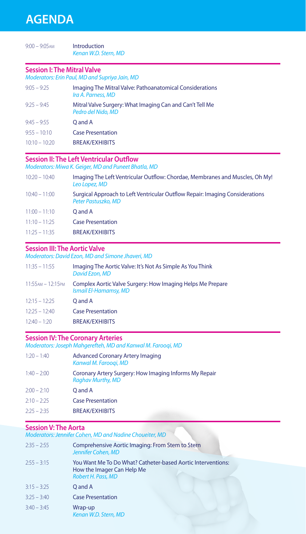| $9:00 - 9:05$ AM                   | Introduction<br>Kenan W.D. Stern, MD                                           |
|------------------------------------|--------------------------------------------------------------------------------|
| <b>Session I: The Mitral Valve</b> | Moderators: Erin Paul, MD and Supriya Jain, MD                                 |
| $9:05 - 9:25$                      | Imaging The Mitral Valve: Pathoanatomical Considerations<br>Ira A. Parness, MD |
| $9:25 - 9:45$                      | Mitral Valve Surgery: What Imaging Can and Can't Tell Me<br>Pedro del Nido. MD |
| $9:45 - 9:55$                      | O and A                                                                        |
| $9.55 - 10.10$                     | <b>Case Presentation</b>                                                       |

10:10 – 10:20 BREAK/EXHIBITS

# **Session II: The Left Ventricular Outflow**

*Moderators: Miwa K. Geiger, MD and Puneet Bhatla, MD*

| $10:20 - 10:40$ | Imaging The Left Ventricular Outflow: Chordae, Membranes and Muscles, Oh My!<br>Leo Lopez, MD       |
|-----------------|-----------------------------------------------------------------------------------------------------|
| $10:40 - 11:00$ | Surgical Approach to Left Ventricular Outflow Repair: Imaging Considerations<br>Peter Pastuszko, MD |
| $11:00 - 11:10$ | O and A                                                                                             |
| $11:10 - 11:25$ | <b>Case Presentation</b>                                                                            |
| $11:25 - 11:35$ | <b>BREAK/EXHIBITS</b>                                                                               |

# **Session III: The Aortic Valve**

*Moderators: David Ezon, MD and Simone Jhaveri, MD*

| $11:35 - 11:55$         | Imaging The Aortic Valve: It's Not As Simple As You Think<br>David Ezon, MD         |
|-------------------------|-------------------------------------------------------------------------------------|
| $11:55$ AM – $12:15$ PM | Complex Aortic Valve Surgery: How Imaging Helps Me Prepare<br>Ismail El-Hamamsy, MD |
| $12:15 - 12:25$         | O and A                                                                             |
| $12.25 - 12.40$         | <b>Case Presentation</b>                                                            |
| $12.40 - 1.20$          | <b>BREAK/EXHIBITS</b>                                                               |

# **Session IV: The Coronary Arteries**

*Moderators: Joseph Mahgerefteh, MD and Kanwal M. Farooqi, MD*

| $1.20 - 1.40$ | <b>Advanced Coronary Artery Imaging</b><br>Kanwal M. Faroogi, MD                   |
|---------------|------------------------------------------------------------------------------------|
| $1:40 - 2:00$ | Coronary Artery Surgery: How Imaging Informs My Repair<br><b>Raghav Murthy, MD</b> |
| $2:00 - 2:10$ | O and A                                                                            |
| $2:10 - 2:25$ | <b>Case Presentation</b>                                                           |
| $2:25 - 2:35$ | <b>BREAK/EXHIBITS</b>                                                              |
|               |                                                                                    |

# **Session V: The Aorta**

*Moderators: Jennifer Cohen, MD and Nadine Choueiter, MD*

| $2:35 - 2:55$ | Comprehensive Aortic Imaging: From Stem to Stern<br>Jennifer Cohen, MD                                           |
|---------------|------------------------------------------------------------------------------------------------------------------|
| $2:55 - 3:15$ | You Want Me To Do What? Catheter-based Aortic Interventions:<br>How the Imager Can Help Me<br>Robert H. Pass, MD |
| $3:15 - 3:25$ | Q and A                                                                                                          |
| $3:25 - 3:40$ | <b>Case Presentation</b>                                                                                         |
| $3:40 - 3:45$ | Wrap-up<br>Kenan W.D. Stern, MD                                                                                  |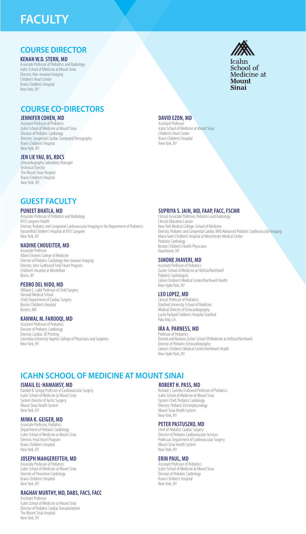# **FACULTY**

# **COURSE DIRECTOR**

### **KENAN W.D. STERN, MD**

sor of Pediatrics and Radiology Icahn School of Medicine at Mount Sinai Director, Non-invasive Imaging Children's Heart Center Kravis Children's Hospital New York, NY

# **COURSE CO-DIRECTORS**

# **JENNIFER COHEN, MD**

Int Professor of Pediatrics Icahn School of Medicine at Mount Sinai Division of Pediatric Cardiology Director, Congenital Cardiac Computed Tomography Kravis Children's Hospitai New York, NY

## **JEN LIE YAU, BS, RDCS**

chocardiography Laboratory Manager Technical Director The Mount Sinai Hospital Kravis Children's Hospital New York, NY

#### **DAVID EZON, MD** istant Profess Icahn School of Medicine at Mount Sinai

Children's Heart Center Kravis Children's Hospital New York, NY

# **GUEST FACULTY**

### **PUNEET BHATLA, MD**

ssociate Professor of Pediatrics and Radiology NYU Langone Health Director, Pediatric and Congenital Cardiovascular Imaging in the Department of Pediatrics Hassenfeld Children's Hospital at NYU Langone New York, NY

#### **NADINE CHOUEITER, MD** ciate Professo

Albert Einstein College of Medicine Director of Pediatric Cardiology Non Invasive Imaging Director, John Gutfreund Fetal Heart Program Children's Hospital at Montefiore Bronx, NY

### **PEDRO DEL NIDO, MD**

William E. Ladd Professor of Child Surgery Harvard Medical School Chief, Department of Cardiac Surgery Boston Children's Hospital Boston, MA

## **KANWAL M. FAROOQI, MD**

Assistant Professor of Pediatric Division of Pediatric Cardiology Director, Cardiac 3D Printing Columbia University Vagelos College of Physicians and Surgeons New York, NY

## **SUPRIYA S. JAIN, MD, FAAP, FACC, FSCMR**

Clinical Associate Professor, Pediatrics and Radiology Clinical Education Liaison New York Medical College-School of Medicine Director, Pediatric and Congenital Cardiac MRI/Advanced Pediatric Cardiovascular Imaging Maria Fareri Children's Hospital at Westchester Medical Center Pediatric Cardiology Boston Children's Health Physicians Hawthorne, NY

### **SIMONE JHAVERI, MD**

Assistant Professor of Pediatrics Zucker School of Medicine at Hofstra/Northwell Pediatric Cardiologists Cohen Children's Medical Center/Northwell Health New Hyde Park, NY

## **LEO LOPEZ, MD**

Clinical Professor of Pediatrics Stanford University School of Medicine Medical Director of Echocardiography Lucile Packard Children's Hospital Stanford Palo Alto, CA

## **IRA A. PARNESS, MD**

Professor of Pediatrics Donald and Barbara Zucker School Of Medicine at Hofstra/Northwell Director of Pediatric Echocardiography Cohen's Children's Medical Center/Northwell Health New Hyde Park, NY

# **ICAHN SCHOOL OF MEDICINE AT MOUNT SINAI**

## **ISMAIL EL-HAMAMSY, MD**

Randall B. Griepp Professor of Cardiovascular Surgery Icahn School of Medicine at Mount Sinai System Director of Aortic Surgery Mount Sinai Health System New York, NY

## **MIWA K. GEIGER, MD**

Associate Professor, Pediatrics Department of Pediatric Cardiology Icahn School of Medicine at Mount Sinai Director, Fetal Heart Program Kravis Children's Hospital New York, NY

### **JOSEPH MAHGEREFTEH, MD**

Associate Professor of Pediatrics Icahn School of Medicine at Mount Sinai Director of Preventive Cardiology Kravis Children's Hospital New York, NY

## **RAGHAV MURTHY, MD, DABS, FACS, FACC**

**Assistant Professor** Icahn School of Medicine at Mount Sinai Director of Pediatric Cardiac Transplantation The Mount Sinai Hospital New York, NY

#### **ROBERT H. PASS, MD** Richard J. Golinko Endowed Professor of Pediatrics

Icahn School of Medicine at Mount Sinai System Chief, Pediatric Cardiology Director, Pediatric Electrophysiology Mount Sinai Health System New York, NY

# **PETER PASTUSZKO, MD**

Chief of Pediatric Cardiac Surger Director of Pediatric Cardiovascular Services Professor, Department of Cardiovascular Surgery Mount Sinai Health System New York, NY

### **ERIN PAUL, MD**

Assistant Professor of Pediatrics Icahn School of Medicine at Mount Sinai Division of Pediatric Cardiology Kravis Children's Hospital New York, NY



School of Medicine at Mount Sinai